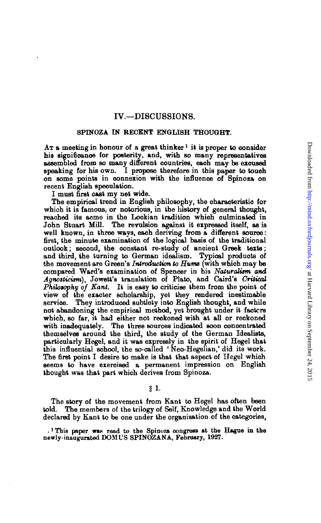# rv.—DISCUSSIONS.

### SPINOZA IN REGENT ENGLISH THOUGHT.

AT a meeting in honour of a great thinker<sup>1</sup> it is proper to consider his significance for posterity, and, with so many representatives assembled from so many different countries, each may be excused speaking for his own. I propose therefore in this paper to touch on some points in connexion with the influence of Spinoza on recent English speculation.

I must first oast my net wide.

The empirical trend in English philosophy, the characteristic for which it is famous, or notorious, in the history of general thought, reached its acme in the Lockian tradition which culminated in John Stuart Mill. The revulsion against it expressed itself, as is The revulsion against it expressed itself, as is well known, in three ways, each deriving from a different source: first, the minute examination of the logical basis of the traditional outlook; second, the constant re-study of ancient Greek texts; and third, the turning to German idealism. Typical products of the movement are Green's *Introduction to Hume* (with which may be compared Ward's examination of Spencer in his *Naturalism and Agnosticism),* Jowett's translation of Plato, and Caird's *Critical Philosophy of Kant.* It is easy to criticise them from the point of view of the exaoter scholarship, yet they rendered inestimable service. They introduced subtlety into English thought, and while not abandoning the empirical method, yet brought under it faotcrs which, so far, it had either not reckoned with at all or reckoned with inadequately. The three sources indicated soon concentrated themselves around the third, the study of the German Idealists, particularly Hegel, and it was expressly in the spirit of Hegel that this influential school, the so-called 'Neo-Hegelian,' did its work. The first point I desire to make is that that aspect of Hegel which seems to have exercised a permanent impression on English thought was that part which derives from Spinoza.

#### **si.**

The story of the movement from Kant to Hegel has often been told. The members of the trilogy of Self, Knowledge and the World declared by Kant to be one under the organisation of the categories,

. ' This paper *ynn* read to the Spinoza congress at the Hague in the newly-inaugurated DOMUS SPINOZANA, February, 1927.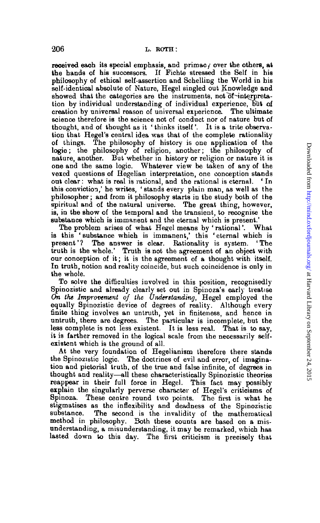received each its special emphasis, and primacy over the others, at the hands of his successors. If Fichte stressed the Self in his philosophy of ethical self-assertion and Schelling the World in his self-identical absolute of Nature, Hegel singled out Knowledge and showed that the categories are the instruments, not  $\delta$ -interpretation by individual understanding of individual experience, But of creation by universal reason of universal experience. The ultimate science therefore is the science not of conduct nor of nature but of thought, and of thought as it ' thinks itself'. It is a trite observation that Hegel's central idea was that of the complete rationality of things. The philosophy of history is one application of the logic; the philosophy of religion, another; the philosophy of nature, another. But whether in history or religion or nature it is one and the same logic. Whatever view be taken of any of the vexed questions of Hegelian interpretation, one conception stands oat clear: what is real is rational, and the rational is eternal. ' In this conviction,' he writes, ' stands every plain man, as well as the philosopher; and from it philosophy starts in the study both of the spiritual and of the natural universe. The great thing, however, is, in the show of the temporal and the transient, to recognise the substance which is immanent and the eternal which is present.'

The problem arises of what Hegel means by ' rational'. What is this 'substance which is immanent,' this 'eternal which is present'? The answer is clear. Rationality is system. 'The The answer is clear. Rationality is system. 'The truth is the whole.' Truth is not the agreement of an object with our conception of it; it is the agreement of a thought with itself. In truth, notion and reality coincide, but such coincidence is only in the whole.

To solve the difficulties involved in this position, recognisedly Spinozistic and already clearly set out in Spinoza's early treatise *On the Improvement of tlie Understanding,* Hegel employed the equally Spinozistic device of degrees of reality. Although every finite thing involves an untruth, yet in finiteness, and hence in untruth, there are degrees. The particular is incomplete, but the less complete is not less existent. It is less real. That is to say, it is farther removed in the logical scale from the necessarily selfexistent which is the ground of all.

At the very foundation of Hegelianism therefore there stands the Spinozistic logic. The doctrines of evil and error, of imagination and pictorial truth, of the true and false infinite, of degrees in thought and reality—all these characteristically Spinozistic theories reappear in their full force in Hegel. This fact may possibly explain the singularly perverse character of Hegel's criticisms of Spinoza. These centre round two points. The first is what he stigmatises as the inflexibility and deadness of the Spinozistic substance. The second is the invalidity of the mathematical method in philosophy. Both these counts are based on a misunderstanding, a misunderstanding, it may be remarked, which has lasted down to this day. The first criticism is precisely that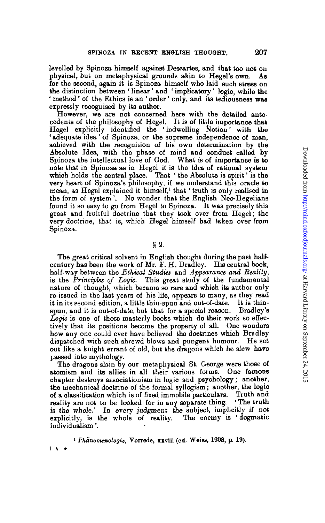levelled by Spinoza himself against Descartes, and that too not on physical, but on metaphysical grounds akin to Hegel's own. As for the second, again it is Spinoza himself who laid such stress on the distinction between ' linear' and ' implicatory' logic, while the ' method' of the Ethics is an ' order' cnly, and its tediousness was expressly recognised by its author.

However, we are not concerned here with the detailed antecedents of the philosophy of Hegel. It is of little importance that Hegel explicitly identified the ' indwelling Notion' with the *'* adequate idea' of Spinoza, or the supreme independence of man, achieved with the recognition of his own determination by the Absolute Idea, with the phase of mind and conduct called by Spinoza the intellectual love of God. What is of importance is to note that in Spinoza as in Hegel it is the idea of rational system which holds the central place. That 'the Absolute is spirit' is the very heart of Spinoza's philosophy, if we understand this oracle to mean, as Hegel explained it himself,<sup>1</sup> that ' truth is only realised in the form of system'. No wonder that the English Neo-Hegelians found it so easy to go from Hegel to Spinoza. It was precisely this great and fruitful doctrine that they took over from Hegel; the very doctrine, that is, which Hegel himself had taken over from Spinoza.

**§2.**

The great critical solvent in English thought during the past halfcentury has been the work of Mr.  $\check{F}$ . H. Bradley. His central book, half-way between the *Ethical Studies* and *Appearance and Reality,* is the *Principles of Logic*. This great study of the fundamental nature of thought, which became so rare and which its author only re-issued in the last years of his life, appears to many, as they read it in its second edition, a little thin-spun and out-of-date. It is thinspun, and it is out-of-date, but that for a special reason. Bradley's *Logic* is one of those masterly books which do their work so effectively that its positions become the property of all. One wonders how any one could ever have believed the doctrines which Bradley dispatched with such shrewd blows and pungent humour. He set out like a knight errant of old, but the dragons which he slew have passed into mythology.

The dragons slain by our metaphysical St. George were those of atomism and its allies in all their various forms. One famous chapter destroys associationism in logic and psychology; another, the mechanical doctrine of the formal syllogism; another, the logic of a classification which is of fixed immobile particulars. Truth and reality are not to be looked for in any separate thing. The truth reality are not to be looked for in any separate thing. is the whole.' In every judgment the subject, implicitly if not explicitly, is the whole of reality. The enemy is 'dogmatic individualism'.

<sup>1</sup> Phänomenologie, Vorrede, xxviii (ed. Weiss, 1908, p. 19).

 $14$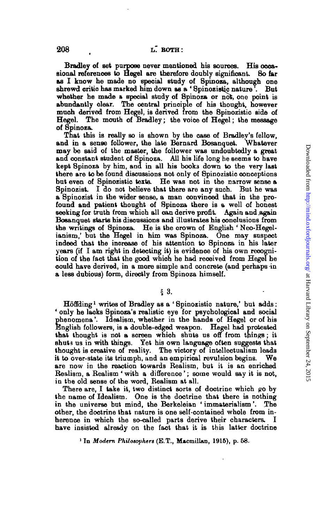Bradley of set purpose never mentioned his sources. His occasional references to Hegel are therefore doubly significant. So far as I know he made no special study of Spinoza, although one shrewd critic has marked him down as a 'Spinozistic nature'. But whether he made a special study of Spinoza or not, one point is abundantly clear. The central prinoiple of his thought, however much derived from Hegel, is derived from the Spinozistio side of Hegel. The mouth of Bradley; the voice of Hegel; the message of Spinoza.

That this is really so is shown by the case of Bradley's fellow, and in a sense follower, the late Bernard Bosanquet. Whatever may be said of the master, the follower was undoubtedly a great and constant student of Spinoza. All his life long he seems to have kept Spinoza by him, and in all his books down to the very last there are to be found disoussions not only of Spinozistic conceptions but even of Spinozistic texts. He was not in the narrow sense a Spinozist. I do not believe that there are any such. But he was a Spinozist in the wider sense, a man convinced that in the profound and patient thought of Spinoza there is a well of honest seeking for truth from which all can derive profit. Again and again Bosanquet starts his disoussions and illustrates his oonolnsions from the writings of Spinoza. He is the orown of English ' Neo-Hegelianism,' but the Hegel in him was Spinoza. One may suspect indeed that the increase of his attention to Spinoza in his later years (if I am right in detecting it) is evidence of his own reoognition of the fact that the good whioh he had reoeived from Hegel he could have derived, in a more simple and concrete (and perhaps in a less dubious) form, directly from Spinoza himself.

## **§3.**

Höffding<sup>1</sup> writes of Bradley as a 'Spinozistic nature,' but adds: ' only he lacks Spinoza's realistic eye for psychological and social phenomena'. Idealism, whether in the hands of Hegel or of his English followers, is a double-edged weapon. Hegel had protested that thought is not a screen whioh shuts us off from things; it shuts us in with things. Yet his own language often suggests that thought is creative of reality. The victory of intellectualism leads<br>it to over-state its triumph, and an empirical revulsion begins. We it to over-state its triumph, and an empirical revulsion begins. are now in the reaction towards Realism, but it is an enriched Realism, a Realism ' with a difference'; some would say it is not, in the old sense of the word, Realism at all.

There are, I take it, two distinct sorts of doctrine which go by the name of Idealism. One is the doctrine that there is nothing in the universe but mind, the Berkeleian ' immaterialism'. The other, the doctrine that nature is one self-contained whole from inherence in which the so-called parts derive their characters. I have insisted already on the fact that it is this latter doctrine

<sup>1</sup> In Modern Philosophers (E.T., Macmillan, 1915), p. 58.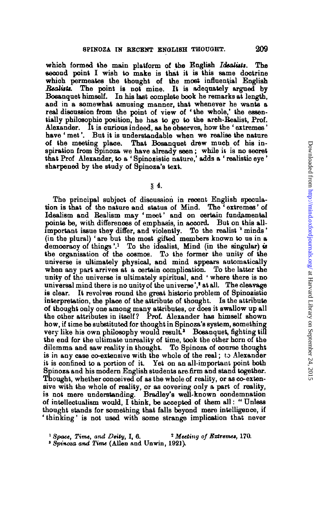which formed the main platform of the English Idealists. The second point I wish to make is that it is this same doctrine which permeates the thought of the most influential English *Bealuti.* The point is not mine. It is adequately argued by Boeanquet himself. In his last complete book he remarks at length, and in a somewhat amusing manner, that whenever he wants a real discussion from the point of view of ' the whole,' the essentially philosophic position, he has to go to the arch-Bealist, Prof. Alexander. It is curious indeed, as he observes, how the ' extremes' have 'met'. But it is understandable when we realise the nature of the meeting place. That Bosanquet drew much of his inspiration from Spinoza we have already seen; while it is no secret that Prof Alexander, to a ' Spinozistio nature,' adds a ' realistic eye' sharpened by the study of Spinoza's text.

#### **§4-**

The principal subject of discussion in recent English speculation is that of the nature and status of Mind. The ' extremes' of Idealism and Realism may 'meet' and on certain fundamental points be, with differences of emphasis, in accord. But on this allimportant issue they differ, and violently. To the realist '' minds' (in the plural) ' are but the most gifted members known to us in a demooracy of things '.<sup>1</sup> To the idealist, Mind (in the singular) is the organisation of the cosmos. To the former the unity of the universe is ultimately physical, and mind appears automatically when any part arrives at a certain complication. To the latter the unity of the universe is ultimately spiritual, and ' where there is no universal mind there is no unity of the universe',\* at all. The cleavage is clear. It revolves round the great historio problem of Spinozistio interpretation, the place of the attribute of thought. Is the attribute of thought only one among many attributes, or does it swallow up all the other attributes in itself? Prof. Alexander has himself shown how, if time be substituted for thought in Spinoza's system, something very like his own philosophy would result.<sup>2</sup> Bosanquet, fighting till the end for the ultimate unreality of time, took the other horn of the dilemma and saw reality in thought. To Spinoza of course thought is in any case co-extensive with the whole of the real; to Alexander it is confined to a portion of it. Yet on an all-important point both Spinoza and his modern English students are firm and stand together. Thought, whether conceived of as the whole of reality, or as co-extensive with the whole of reality, or as covering only a part of reality, is not mere understanding. Bradley's well-known condemnation of intellectualism would, I think, be accepted of them all: " Unless thought stands for something that falls beyond mere intelligence, if *'* thinking' is not used with some strange implication that never

<sup>&</sup>lt;sup>1</sup> Space, Time, and Deity, I, 6. *<sup>i</sup> Meeting of Extremes,* 170.

<sup>\*</sup> *Spinoza and Time* (Allen and Unwin, 1921).